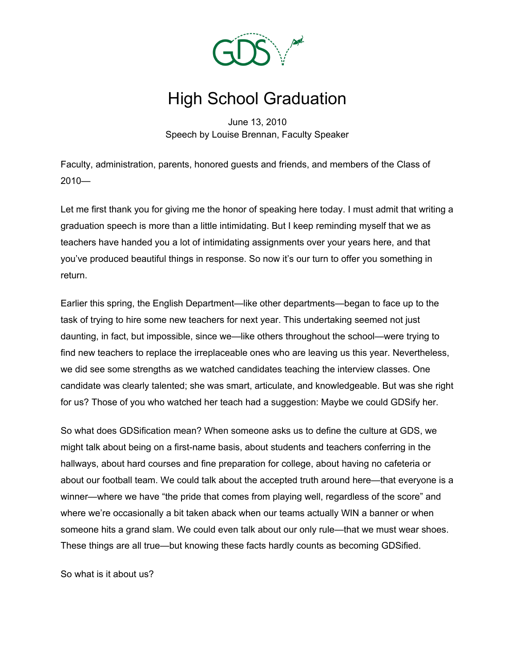

## High School Graduation

June 13, 2010 Speech by Louise Brennan, Faculty Speaker

Faculty, administration, parents, honored guests and friends, and members of the Class of 2010—

Let me first thank you for giving me the honor of speaking here today. I must admit that writing a graduation speech is more than a little intimidating. But I keep reminding myself that we as teachers have handed you a lot of intimidating assignments over your years here, and that you've produced beautiful things in response. So now it's our turn to offer you something in return.

Earlier this spring, the English Department—like other departments—began to face up to the task of trying to hire some new teachers for next year. This undertaking seemed not just daunting, in fact, but impossible, since we—like others throughout the school—were trying to find new teachers to replace the irreplaceable ones who are leaving us this year. Nevertheless, we did see some strengths as we watched candidates teaching the interview classes. One candidate was clearly talented; she was smart, articulate, and knowledgeable. But was she right for us? Those of you who watched her teach had a suggestion: Maybe we could GDSify her.

So what does GDSification mean? When someone asks us to define the culture at GDS, we might talk about being on a first-name basis, about students and teachers conferring in the hallways, about hard courses and fine preparation for college, about having no cafeteria or about our football team. We could talk about the accepted truth around here—that everyone is a winner—where we have "the pride that comes from playing well, regardless of the score" and where we're occasionally a bit taken aback when our teams actually WIN a banner or when someone hits a grand slam. We could even talk about our only rule—that we must wear shoes. These things are all true—but knowing these facts hardly counts as becoming GDSified.

So what is it about us?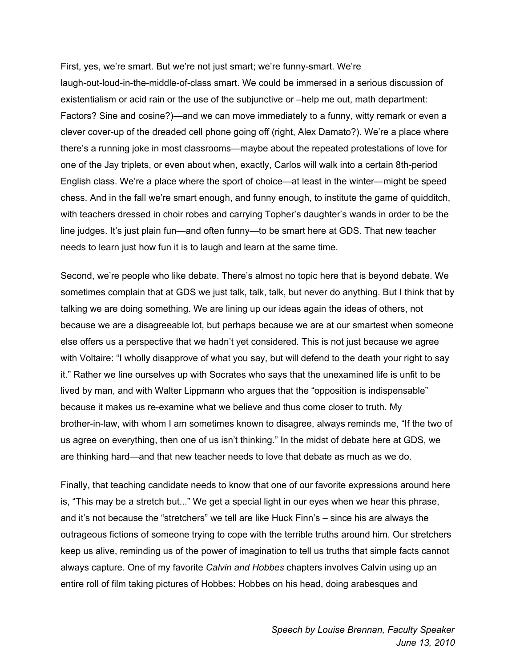First, yes, we're smart. But we're not just smart; we're funny-smart. We're laugh-out-loud-in-the-middle-of-class smart. We could be immersed in a serious discussion of existentialism or acid rain or the use of the subjunctive or –help me out, math department: Factors? Sine and cosine?)—and we can move immediately to a funny, witty remark or even a clever cover-up of the dreaded cell phone going off (right, Alex Damato?). We're a place where there's a running joke in most classrooms—maybe about the repeated protestations of love for one of the Jay triplets, or even about when, exactly, Carlos will walk into a certain 8th-period English class. We're a place where the sport of choice—at least in the winter—might be speed chess. And in the fall we're smart enough, and funny enough, to institute the game of quidditch, with teachers dressed in choir robes and carrying Topher's daughter's wands in order to be the line judges. It's just plain fun—and often funny—to be smart here at GDS. That new teacher needs to learn just how fun it is to laugh and learn at the same time.

Second, we're people who like debate. There's almost no topic here that is beyond debate. We sometimes complain that at GDS we just talk, talk, talk, but never do anything. But I think that by talking we are doing something. We are lining up our ideas again the ideas of others, not because we are a disagreeable lot, but perhaps because we are at our smartest when someone else offers us a perspective that we hadn't yet considered. This is not just because we agree with Voltaire: "I wholly disapprove of what you say, but will defend to the death your right to say it." Rather we line ourselves up with Socrates who says that the unexamined life is unfit to be lived by man, and with Walter Lippmann who argues that the "opposition is indispensable" because it makes us re-examine what we believe and thus come closer to truth. My brother-in-law, with whom I am sometimes known to disagree, always reminds me, "If the two of us agree on everything, then one of us isn't thinking." In the midst of debate here at GDS, we are thinking hard—and that new teacher needs to love that debate as much as we do.

Finally, that teaching candidate needs to know that one of our favorite expressions around here is, "This may be a stretch but..." We get a special light in our eyes when we hear this phrase, and it's not because the "stretchers" we tell are like Huck Finn's – since his are always the outrageous fictions of someone trying to cope with the terrible truths around him. Our stretchers keep us alive, reminding us of the power of imagination to tell us truths that simple facts cannot always capture. One of my favorite *Calvin and Hobbes* chapters involves Calvin using up an entire roll of film taking pictures of Hobbes: Hobbes on his head, doing arabesques and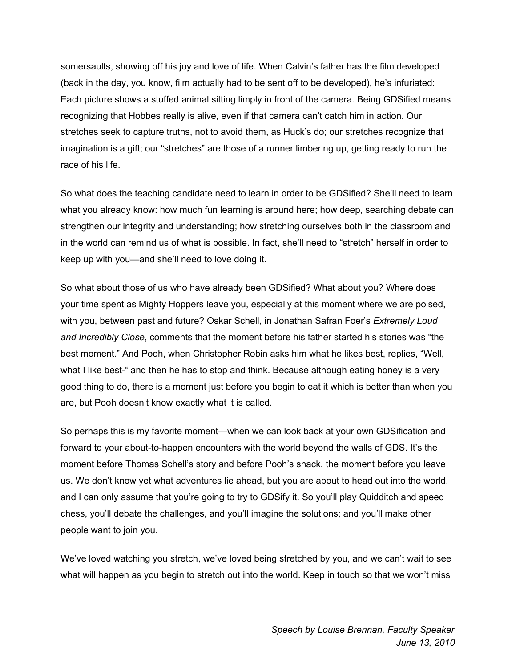somersaults, showing off his joy and love of life. When Calvin's father has the film developed (back in the day, you know, film actually had to be sent off to be developed), he's infuriated: Each picture shows a stuffed animal sitting limply in front of the camera. Being GDSified means recognizing that Hobbes really is alive, even if that camera can't catch him in action. Our stretches seek to capture truths, not to avoid them, as Huck's do; our stretches recognize that imagination is a gift; our "stretches" are those of a runner limbering up, getting ready to run the race of his life.

So what does the teaching candidate need to learn in order to be GDSified? She'll need to learn what you already know: how much fun learning is around here; how deep, searching debate can strengthen our integrity and understanding; how stretching ourselves both in the classroom and in the world can remind us of what is possible. In fact, she'll need to "stretch" herself in order to keep up with you—and she'll need to love doing it.

So what about those of us who have already been GDSified? What about you? Where does your time spent as Mighty Hoppers leave you, especially at this moment where we are poised, with you, between past and future? Oskar Schell, in Jonathan Safran Foer's *Extremely Loud and Incredibly Close*, comments that the moment before his father started his stories was "the best moment." And Pooh, when Christopher Robin asks him what he likes best, replies, "Well, what I like best-" and then he has to stop and think. Because although eating honey is a very good thing to do, there is a moment just before you begin to eat it which is better than when you are, but Pooh doesn't know exactly what it is called.

So perhaps this is my favorite moment—when we can look back at your own GDSification and forward to your about-to-happen encounters with the world beyond the walls of GDS. It's the moment before Thomas Schell's story and before Pooh's snack, the moment before you leave us. We don't know yet what adventures lie ahead, but you are about to head out into the world, and I can only assume that you're going to try to GDSify it. So you'll play Quidditch and speed chess, you'll debate the challenges, and you'll imagine the solutions; and you'll make other people want to join you.

We've loved watching you stretch, we've loved being stretched by you, and we can't wait to see what will happen as you begin to stretch out into the world. Keep in touch so that we won't miss